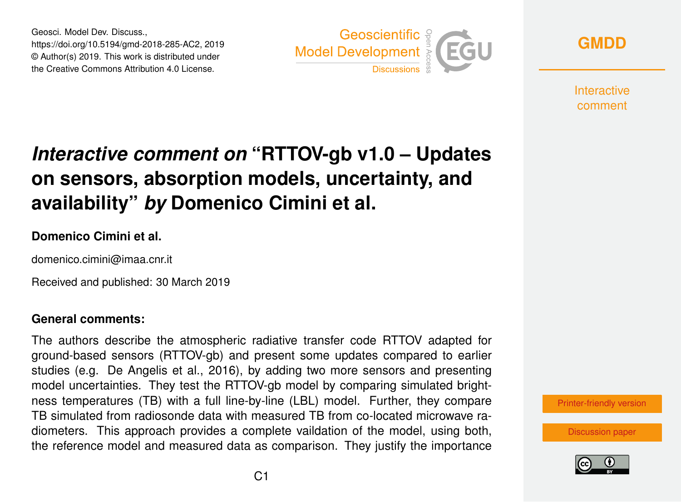Geosci. Model Dev. Discuss., https://doi.org/10.5194/gmd-2018-285-AC2, 2019 © Author(s) 2019. This work is distributed under the Creative Commons Attribution 4.0 License.



**[GMDD](https://www.geosci-model-dev-discuss.net/)**

**Interactive** comment

# *Interactive comment on* **"RTTOV-gb v1.0 – Updates on sensors, absorption models, uncertainty, and availability"** *by* **Domenico Cimini et al.**

### **Domenico Cimini et al.**

domenico.cimini@imaa.cnr.it

Received and published: 30 March 2019

### **General comments:**

The authors describe the atmospheric radiative transfer code RTTOV adapted for ground-based sensors (RTTOV-gb) and present some updates compared to earlier studies (e.g. De Angelis et al., 2016), by adding two more sensors and presenting model uncertainties. They test the RTTOV-gb model by comparing simulated brightness temperatures (TB) with a full line-by-line (LBL) model. Further, they compare TB simulated from radiosonde data with measured TB from co-located microwave radiometers. This approach provides a complete vaildation of the model, using both, the reference model and measured data as comparison. They justify the importance



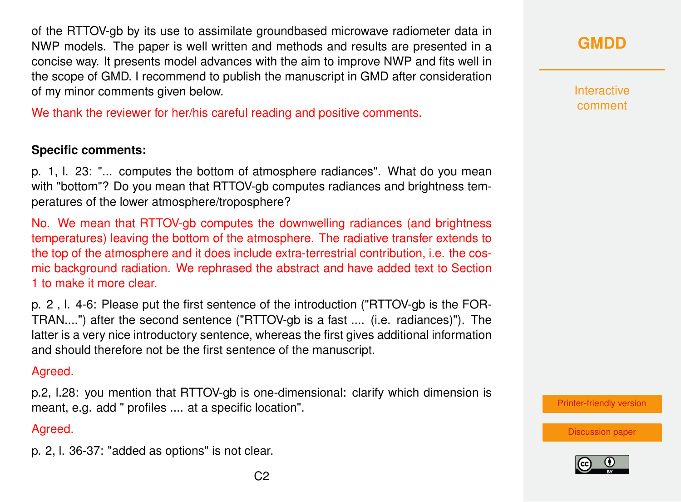of the RTTOV-gb by its use to assimilate groundbased microwave radiometer data in NWP models. The paper is well written and methods and results are presented in a concise way. It presents model advances with the aim to improve NWP and fits well in the scope of GMD. I recommend to publish the manuscript in GMD after consideration of my minor comments given below.

We thank the reviewer for her/his careful reading and positive comments.

### **Specific comments:**

p. 1, l. 23: "... computes the bottom of atmosphere radiances". What do you mean with "bottom"? Do you mean that RTTOV-gb computes radiances and brightness temperatures of the lower atmosphere/troposphere?

No. We mean that RTTOV-gb computes the downwelling radiances (and brightness temperatures) leaving the bottom of the atmosphere. The radiative transfer extends to the top of the atmosphere and it does include extra-terrestrial contribution, i.e. the cosmic background radiation. We rephrased the abstract and have added text to Section 1 to make it more clear.

p. 2 , l. 4-6: Please put the first sentence of the introduction ("RTTOV-gb is the FOR-TRAN....") after the second sentence ("RTTOV-gb is a fast .... (i.e. radiances)"). The latter is a very nice introductory sentence, whereas the first gives additional information and should therefore not be the first sentence of the manuscript.

#### Agreed.

p.2, l.28: you mention that RTTOV-gb is one-dimensional: clarify which dimension is meant, e.g. add " profiles .... at a specific location".

#### Agreed.

p. 2, l. 36-37: "added as options" is not clear.

Interactive comment

[Printer-friendly version](https://www.geosci-model-dev-discuss.net/gmd-2018-285/gmd-2018-285-AC2-print.pdf)

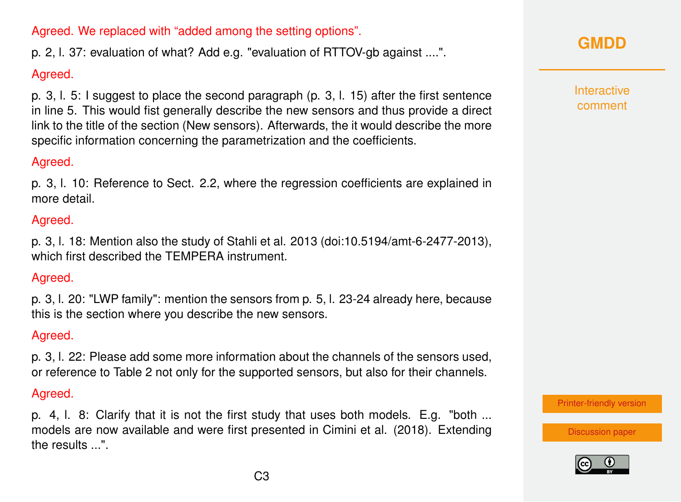Agreed. We replaced with "added among the setting options".

p. 2, l. 37: evaluation of what? Add e.g. "evaluation of RTTOV-gb against ....".

# Agreed.

p. 3, l. 5: I suggest to place the second paragraph (p. 3, l. 15) after the first sentence in line 5. This would fist generally describe the new sensors and thus provide a direct link to the title of the section (New sensors). Afterwards, the it would describe the more specific information concerning the parametrization and the coefficients.

### Agreed.

p. 3, l. 10: Reference to Sect. 2.2, where the regression coefficients are explained in more detail.

### Agreed.

p. 3, l. 18: Mention also the study of Stahli et al. 2013 (doi:10.5194/amt-6-2477-2013), which first described the TEMPERA instrument.

### Agreed.

p. 3, l. 20: "LWP family": mention the sensors from p. 5, l. 23-24 already here, because this is the section where you describe the new sensors.

### Agreed.

p. 3, l. 22: Please add some more information about the channels of the sensors used, or reference to Table 2 not only for the supported sensors, but also for their channels.

### Agreed.

p. 4, l. 8: Clarify that it is not the first study that uses both models. E.g. "both ... models are now available and were first presented in Cimini et al. (2018). Extending the results ...".

# **[GMDD](https://www.geosci-model-dev-discuss.net/)**

**Interactive** comment

[Printer-friendly version](https://www.geosci-model-dev-discuss.net/gmd-2018-285/gmd-2018-285-AC2-print.pdf)

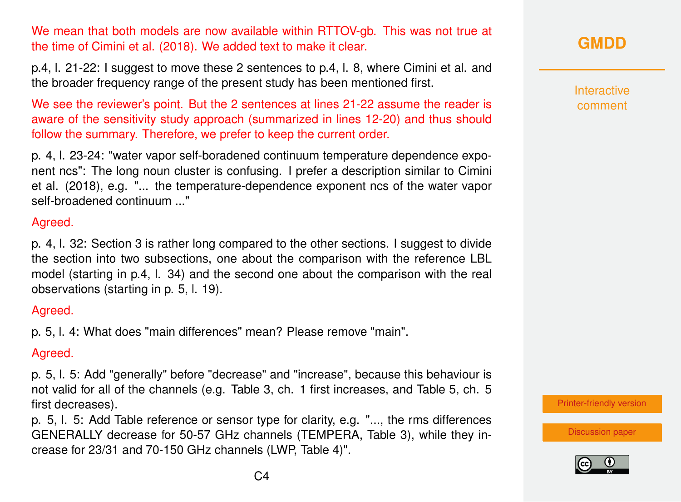We mean that both models are now available within RTTOV-gb. This was not true at the time of Cimini et al. (2018). We added text to make it clear.

p.4, l. 21-22: I suggest to move these 2 sentences to p.4, l. 8, where Cimini et al. and the broader frequency range of the present study has been mentioned first.

We see the reviewer's point. But the 2 sentences at lines 21-22 assume the reader is aware of the sensitivity study approach (summarized in lines 12-20) and thus should follow the summary. Therefore, we prefer to keep the current order.

p. 4, l. 23-24: "water vapor self-boradened continuum temperature dependence exponent ncs": The long noun cluster is confusing. I prefer a description similar to Cimini et al. (2018), e.g. "... the temperature-dependence exponent ncs of the water vapor self-broadened continuum ..."

#### Agreed.

p. 4, l. 32: Section 3 is rather long compared to the other sections. I suggest to divide the section into two subsections, one about the comparison with the reference LBL model (starting in p.4, l. 34) and the second one about the comparison with the real observations (starting in p. 5, l. 19).

#### Agreed.

p. 5, l. 4: What does "main differences" mean? Please remove "main".

### Agreed.

p. 5, l. 5: Add "generally" before "decrease" and "increase", because this behaviour is not valid for all of the channels (e.g. Table 3, ch. 1 first increases, and Table 5, ch. 5 first decreases).

p. 5, l. 5: Add Table reference or sensor type for clarity, e.g. "..., the rms differences GENERALLY decrease for 50-57 GHz channels (TEMPERA, Table 3), while they increase for 23/31 and 70-150 GHz channels (LWP, Table 4)".

# **[GMDD](https://www.geosci-model-dev-discuss.net/)**

Interactive comment

[Printer-friendly version](https://www.geosci-model-dev-discuss.net/gmd-2018-285/gmd-2018-285-AC2-print.pdf)

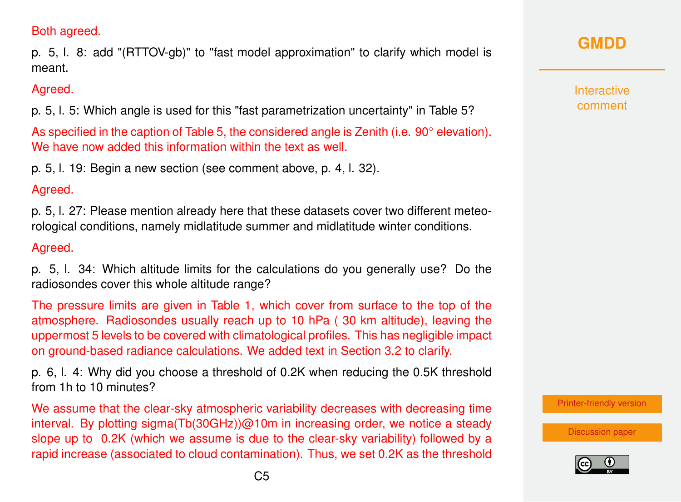### Both agreed.

p. 5, l. 8: add "(RTTOV-gb)" to "fast model approximation" to clarify which model is meant.

### Agreed.

p. 5, l. 5: Which angle is used for this "fast parametrization uncertainty" in Table 5?

As specified in the caption of Table 5, the considered angle is Zenith (i.e. 90◦ elevation). We have now added this information within the text as well.

p. 5, l. 19: Begin a new section (see comment above, p. 4, l. 32).

### Agreed.

p. 5, l. 27: Please mention already here that these datasets cover two different meteorological conditions, namely midlatitude summer and midlatitude winter conditions.

### Agreed.

p. 5, l. 34: Which altitude limits for the calculations do you generally use? Do the radiosondes cover this whole altitude range?

The pressure limits are given in Table 1, which cover from surface to the top of the atmosphere. Radiosondes usually reach up to 10 hPa ( 30 km altitude), leaving the uppermost 5 levels to be covered with climatological profiles. This has negligible impact on ground-based radiance calculations. We added text in Section 3.2 to clarify.

p. 6, l. 4: Why did you choose a threshold of 0.2K when reducing the 0.5K threshold from 1h to 10 minutes?

We assume that the clear-sky atmospheric variability decreases with decreasing time interval. By plotting sigma(Tb(30GHz))@10m in increasing order, we notice a steady slope up to 0.2K (which we assume is due to the clear-sky variability) followed by a rapid increase (associated to cloud contamination). Thus, we set 0.2K as the threshold

# **[GMDD](https://www.geosci-model-dev-discuss.net/)**

**Interactive** comment

[Printer-friendly version](https://www.geosci-model-dev-discuss.net/gmd-2018-285/gmd-2018-285-AC2-print.pdf)

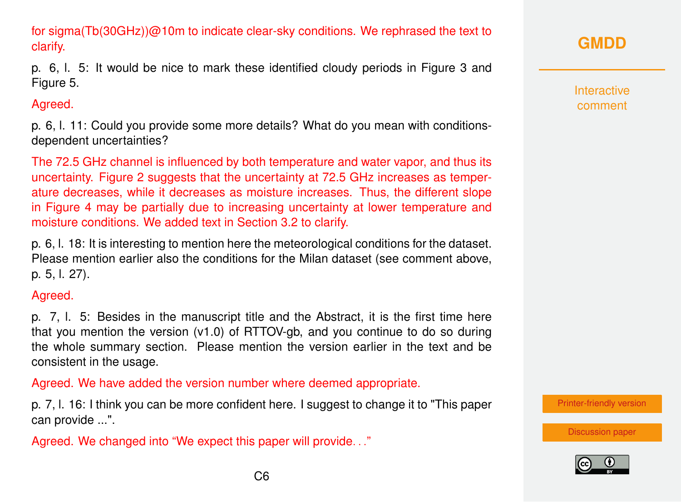for sigma(Tb(30GHz))@10m to indicate clear-sky conditions. We rephrased the text to clarify.

p. 6, l. 5: It would be nice to mark these identified cloudy periods in Figure 3 and Figure 5.

### Agreed.

p. 6, l. 11: Could you provide some more details? What do you mean with conditionsdependent uncertainties?

The 72.5 GHz channel is influenced by both temperature and water vapor, and thus its uncertainty. Figure 2 suggests that the uncertainty at 72.5 GHz increases as temperature decreases, while it decreases as moisture increases. Thus, the different slope in Figure 4 may be partially due to increasing uncertainty at lower temperature and moisture conditions. We added text in Section 3.2 to clarify.

p. 6, l. 18: It is interesting to mention here the meteorological conditions for the dataset. Please mention earlier also the conditions for the Milan dataset (see comment above, p. 5, l. 27).

### Agreed.

p. 7, l. 5: Besides in the manuscript title and the Abstract, it is the first time here that you mention the version (v1.0) of RTTOV-gb, and you continue to do so during the whole summary section. Please mention the version earlier in the text and be consistent in the usage.

Agreed. We have added the version number where deemed appropriate.

p. 7, l. 16: I think you can be more confident here. I suggest to change it to "This paper can provide ...".

Agreed. We changed into "We expect this paper will provide. . ."

**Interactive** comment

[Printer-friendly version](https://www.geosci-model-dev-discuss.net/gmd-2018-285/gmd-2018-285-AC2-print.pdf)

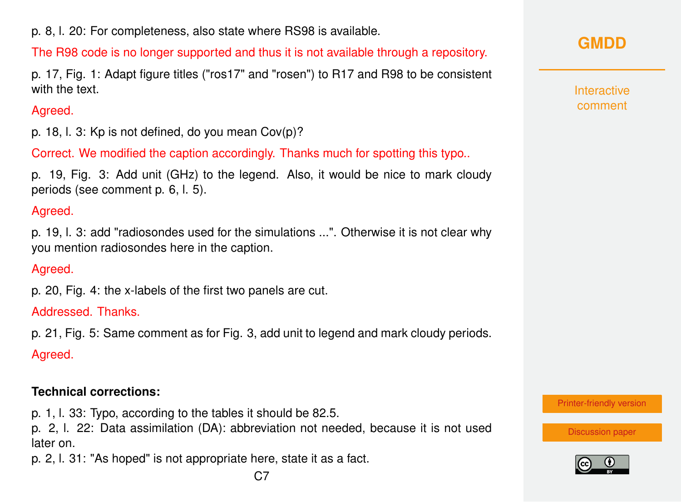p. 8, l. 20: For completeness, also state where RS98 is available.

The R98 code is no longer supported and thus it is not available through a repository.

p. 17, Fig. 1: Adapt figure titles ("ros17" and "rosen") to R17 and R98 to be consistent with the text.

# Agreed.

p. 18, l. 3: Kp is not defined, do you mean Cov(p)?

Correct. We modified the caption accordingly. Thanks much for spotting this typo..

p. 19, Fig. 3: Add unit (GHz) to the legend. Also, it would be nice to mark cloudy periods (see comment p. 6, l. 5).

# Agreed.

p. 19, l. 3: add "radiosondes used for the simulations ...". Otherwise it is not clear why you mention radiosondes here in the caption.

# Agreed.

p. 20, Fig. 4: the x-labels of the first two panels are cut.

Addressed. Thanks.

p. 21, Fig. 5: Same comment as for Fig. 3, add unit to legend and mark cloudy periods.

Agreed.

# **Technical corrections:**

p. 1, l. 33: Typo, according to the tables it should be 82.5.

p. 2, l. 22: Data assimilation (DA): abbreviation not needed, because it is not used later on.

p. 2, l. 31: "As hoped" is not appropriate here, state it as a fact.

**Interactive** comment

[Printer-friendly version](https://www.geosci-model-dev-discuss.net/gmd-2018-285/gmd-2018-285-AC2-print.pdf)